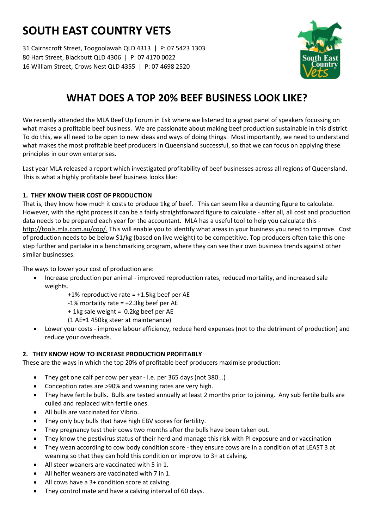# **SOUTH EAST COUNTRY VETS**

31 Cairnscroft Street, Toogoolawah QLD 4313 | P: 07 5423 1303 80 Hart Street, Blackbutt QLD 4306 | P: 07 4170 0022 16 William Street, Crows Nest QLD 4355 | P: 07 4698 2520



## **WHAT DOES A TOP 20% BEEF BUSINESS LOOK LIKE?**

We recently attended the MLA Beef Up Forum in Esk where we listened to a great panel of speakers focussing on what makes a profitable beef business. We are passionate about making beef production sustainable in this district. To do this, we all need to be open to new ideas and ways of doing things. Most importantly, we need to understand what makes the most profitable beef producers in Queensland successful, so that we can focus on applying these principles in our own enterprises.

Last year MLA released a report which investigated profitability of beef businesses across all regions of Queensland. This is what a highly profitable beef business looks like:

### **1. THEY KNOW THEIR COST OF PRODUCTION**

That is, they know how much it costs to produce 1kg of beef. This can seem like a daunting figure to calculate. However, with the right process it can be a fairly straightforward figure to calculate - after all, all cost and production data needs to be prepared each year for the accountant. MLA has a useful tool to help you calculate this http://tools.mla.com.au/cop/. This will enable you to identify what areas in your business you need to improve. Cost of production needs to be below \$1/kg (based on live weight) to be competitive. Top producers often take this one step further and partake in a benchmarking program, where they can see their own business trends against other similar businesses.

The ways to lower your cost of production are:

- Increase production per animal improved reproduction rates, reduced mortality, and increased sale weights.
	- +1% reproductive rate = +1.5kg beef per AE
	- -1% mortality rate = +2.3kg beef per AE
	- + 1kg sale weight = 0.2kg beef per AE
	- (1 AE=1 450kg steer at maintenance)
- Lower your costs improve labour efficiency, reduce herd expenses (not to the detriment of production) and reduce your overheads.

### **2. THEY KNOW HOW TO INCREASE PRODUCTION PROFITABLY**

These are the ways in which the top 20% of profitable beef producers maximise production:

- They get one calf per cow per year i.e. per 365 days (not 380...)
- Conception rates are >90% and weaning rates are very high.
- They have fertile bulls. Bulls are tested annually at least 2 months prior to joining. Any sub fertile bulls are culled and replaced with fertile ones.
- All bulls are vaccinated for Vibrio.
- They only buy bulls that have high EBV scores for fertility.
- They pregnancy test their cows two months after the bulls have been taken out.
- They know the pestivirus status of their herd and manage this risk with PI exposure and or vaccination
- They wean according to cow body condition score they ensure cows are in a condition of at LEAST 3 at weaning so that they can hold this condition or improve to 3+ at calving.
- All steer weaners are vaccinated with 5 in 1.
- All heifer weaners are vaccinated with 7 in 1.
- All cows have a 3+ condition score at calving.
- They control mate and have a calving interval of 60 days.